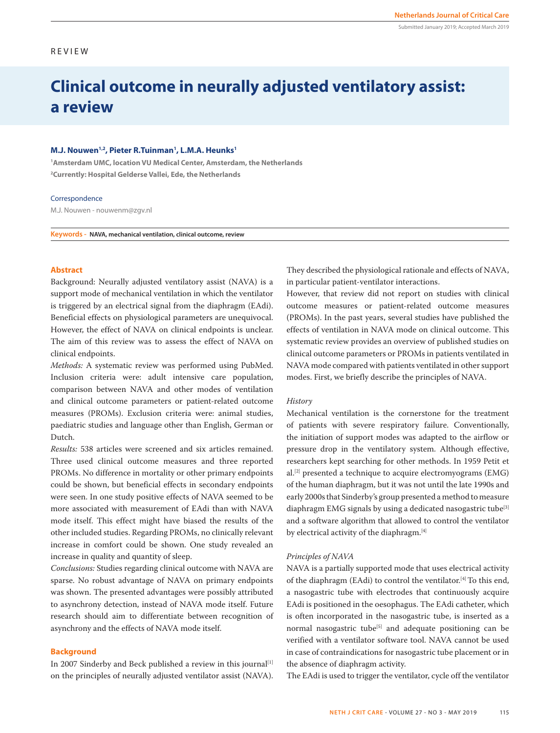## REVIEW

# **Clinical outcome in neurally adjusted ventilatory assist: a review**

## **M.J. Nouwen1,2, Pieter R.Tuinman1 , L.M.A. Heunks1**

**1 Amsterdam UMC, location VU Medical Center, Amsterdam, the Netherlands 2 Currently: Hospital Gelderse Vallei, Ede, the Netherlands**

#### Correspondence

M.J. Nouwen - nouwenm@zgv.nl

**Keywords - NAVA, mechanical ventilation, clinical outcome, review**

## **Abstract**

Background: Neurally adjusted ventilatory assist (NAVA) is a support mode of mechanical ventilation in which the ventilator is triggered by an electrical signal from the diaphragm (EAdi). Beneficial effects on physiological parameters are unequivocal. However, the effect of NAVA on clinical endpoints is unclear. The aim of this review was to assess the effect of NAVA on clinical endpoints.

*Methods:* A systematic review was performed using PubMed. Inclusion criteria were: adult intensive care population, comparison between NAVA and other modes of ventilation and clinical outcome parameters or patient-related outcome measures (PROMs). Exclusion criteria were: animal studies, paediatric studies and language other than English, German or Dutch.

*Results:* 538 articles were screened and six articles remained. Three used clinical outcome measures and three reported PROMs. No difference in mortality or other primary endpoints could be shown, but beneficial effects in secondary endpoints were seen. In one study positive effects of NAVA seemed to be more associated with measurement of EAdi than with NAVA mode itself. This effect might have biased the results of the other included studies. Regarding PROMs, no clinically relevant increase in comfort could be shown. One study revealed an increase in quality and quantity of sleep.

*Conclusions:* Studies regarding clinical outcome with NAVA are sparse. No robust advantage of NAVA on primary endpoints was shown. The presented advantages were possibly attributed to asynchrony detection, instead of NAVA mode itself. Future research should aim to differentiate between recognition of asynchrony and the effects of NAVA mode itself.

## **Background**

In 2007 Sinderby and Beck published a review in this journal<sup>[1]</sup> on the principles of neurally adjusted ventilator assist (NAVA). They described the physiological rationale and effects of NAVA, in particular patient-ventilator interactions.

However, that review did not report on studies with clinical outcome measures or patient-related outcome measures (PROMs). In the past years, several studies have published the effects of ventilation in NAVA mode on clinical outcome. This systematic review provides an overview of published studies on clinical outcome parameters or PROMs in patients ventilated in NAVA mode compared with patients ventilated in other support modes. First, we briefly describe the principles of NAVA.

## *History*

Mechanical ventilation is the cornerstone for the treatment of patients with severe respiratory failure. Conventionally, the initiation of support modes was adapted to the airflow or pressure drop in the ventilatory system. Although effective, researchers kept searching for other methods. In 1959 Petit et al.[2] presented a technique to acquire electromyograms (EMG) of the human diaphragm, but it was not until the late 1990s and early 2000s that Sinderby's group presented a method to measure diaphragm EMG signals by using a dedicated nasogastric tube<sup>[3]</sup> and a software algorithm that allowed to control the ventilator by electrical activity of the diaphragm.[4]

## *Principles of NAVA*

NAVA is a partially supported mode that uses electrical activity of the diaphragm (EAdi) to control the ventilator.<sup>[4]</sup> To this end, a nasogastric tube with electrodes that continuously acquire EAdi is positioned in the oesophagus. The EAdi catheter, which is often incorporated in the nasogastric tube, is inserted as a normal nasogastric tube<sup>[5]</sup> and adequate positioning can be verified with a ventilator software tool. NAVA cannot be used in case of contraindications for nasogastric tube placement or in the absence of diaphragm activity.

The EAdi is used to trigger the ventilator, cycle off the ventilator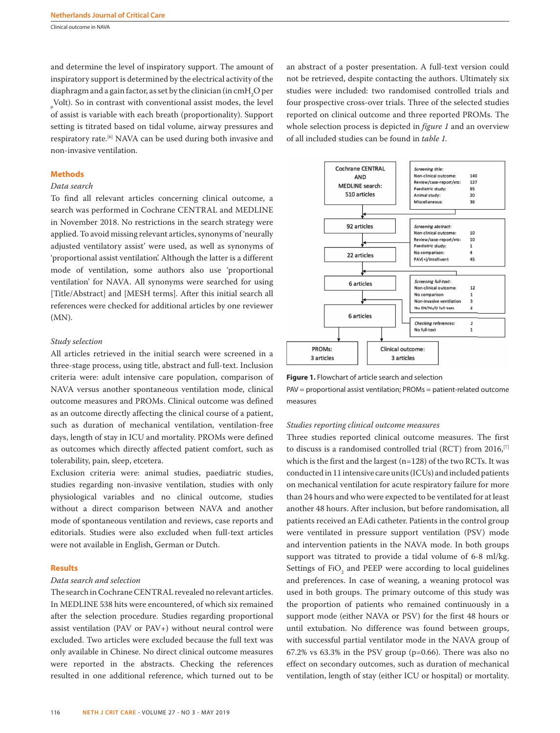Clinical outcome in NAVA

and determine the level of inspiratory support. The amount of inspiratory support is determined by the electrical activity of the diaphragm and a gain factor, as set by the clinician (in  $\text{cmH}_{\text{2}}\text{O}$  per  $_{\mu}$ Volt). So in contrast with conventional assist modes, the level of assist is variable with each breath (proportionality). Support setting is titrated based on tidal volume, airway pressures and respiratory rate.[6] NAVA can be used during both invasive and non-invasive ventilation.

## **Methods**

#### *Data search*

To find all relevant articles concerning clinical outcome, a search was performed in Cochrane CENTRAL and MEDLINE in November 2018. No restrictions in the search strategy were applied. To avoid missing relevant articles, synonyms of 'neurally adjusted ventilatory assist' were used, as well as synonyms of 'proportional assist ventilation'. Although the latter is a different mode of ventilation, some authors also use 'proportional ventilation' for NAVA. All synonyms were searched for using [Title/Abstract] and [MESH terms]. After this initial search all references were checked for additional articles by one reviewer (MN).

#### *Study selection*

All articles retrieved in the initial search were screened in a three-stage process, using title, abstract and full-text. Inclusion criteria were: adult intensive care population, comparison of NAVA versus another spontaneous ventilation mode, clinical outcome measures and PROMs. Clinical outcome was defined as an outcome directly affecting the clinical course of a patient, such as duration of mechanical ventilation, ventilation-free days, length of stay in ICU and mortality. PROMs were defined as outcomes which directly affected patient comfort, such as tolerability, pain, sleep, etcetera.

Exclusion criteria were: animal studies, paediatric studies, studies regarding non-invasive ventilation, studies with only physiological variables and no clinical outcome, studies without a direct comparison between NAVA and another mode of spontaneous ventilation and reviews, case reports and editorials. Studies were also excluded when full-text articles were not available in English, German or Dutch.

## **Results**

## *Data search and selection*

The search in Cochrane CENTRAL revealed no relevant articles. In MEDLINE 538 hits were encountered, of which six remained after the selection procedure. Studies regarding proportional assist ventilation (PAV or PAV+) without neural control were excluded. Two articles were excluded because the full text was only available in Chinese. No direct clinical outcome measures were reported in the abstracts. Checking the references resulted in one additional reference, which turned out to be an abstract of a poster presentation. A full-text version could not be retrieved, despite contacting the authors. Ultimately six studies were included: two randomised controlled trials and four prospective cross-over trials. Three of the selected studies reported on clinical outcome and three reported PROMs. The whole selection process is depicted in *figure 1* and an overview of all included studies can be found in *table 1.*



**Figure 1.** Flowchart of article search and selection PAV = proportional assist ventilation; PROMs = patient-related outcome measures

## *Studies reporting clinical outcome measures*

Three studies reported clinical outcome measures. The first to discuss is a randomised controlled trial (RCT) from 2016,<sup>[7]</sup> which is the first and the largest (n=128) of the two RCTs. It was conducted in 11 intensive care units (ICUs) and included patients on mechanical ventilation for acute respiratory failure for more than 24 hours and who were expected to be ventilated for at least another 48 hours. After inclusion, but before randomisation, all patients received an EAdi catheter. Patients in the control group were ventilated in pressure support ventilation (PSV) mode and intervention patients in the NAVA mode. In both groups support was titrated to provide a tidal volume of 6-8 ml/kg. Settings of  $FiO<sub>2</sub>$  and PEEP were according to local guidelines and preferences. In case of weaning, a weaning protocol was used in both groups. The primary outcome of this study was the proportion of patients who remained continuously in a support mode (either NAVA or PSV) for the first 48 hours or until extubation. No difference was found between groups, with successful partial ventilator mode in the NAVA group of 67.2% vs 63.3% in the PSV group (p=0.66). There was also no effect on secondary outcomes, such as duration of mechanical ventilation, length of stay (either ICU or hospital) or mortality.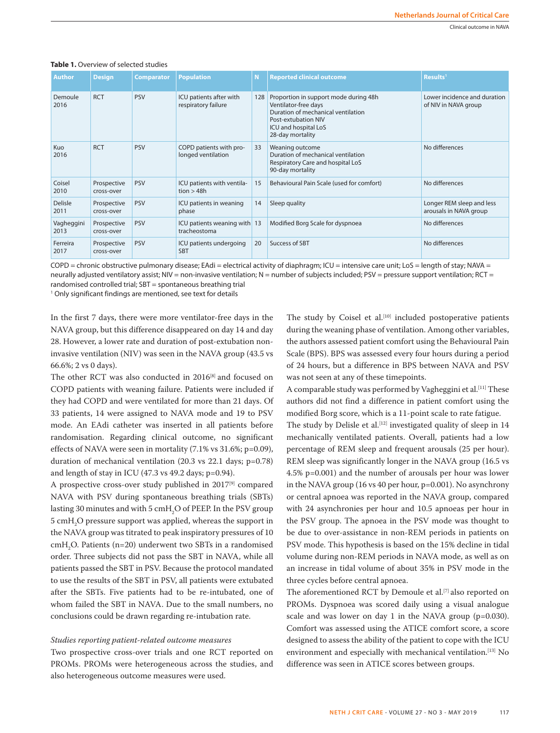| <b>Author</b>          | <b>Design</b>             | <b>Comparator</b> | <b>Population</b>                              | N   | <b>Reported clinical outcome</b>                                                                                                                                       | Results <sup>1</sup>                                 |
|------------------------|---------------------------|-------------------|------------------------------------------------|-----|------------------------------------------------------------------------------------------------------------------------------------------------------------------------|------------------------------------------------------|
| Demoule<br>2016        | <b>RCT</b>                | <b>PSV</b>        | ICU patients after with<br>respiratory failure | 128 | Proportion in support mode during 48h<br>Ventilator-free days<br>Duration of mechanical ventilation<br>Post-extubation NIV<br>ICU and hospital LoS<br>28-day mortality | Lower incidence and duration<br>of NIV in NAVA group |
| <b>Kuo</b><br>2016     | <b>RCT</b>                | <b>PSV</b>        | COPD patients with pro-<br>longed ventilation  | 33  | Weaning outcome<br>Duration of mechanical ventilation<br>Respiratory Care and hospital LoS<br>90-day mortality                                                         | No differences                                       |
| Coisel<br>2010         | Prospective<br>cross-over | <b>PSV</b>        | ICU patients with ventila-<br>tion > 48h       | 15  | Behavioural Pain Scale (used for comfort)                                                                                                                              | No differences                                       |
| <b>Delisle</b><br>2011 | Prospective<br>cross-over | <b>PSV</b>        | ICU patients in weaning<br>phase               | 14  | Sleep quality                                                                                                                                                          | Longer REM sleep and less<br>arousals in NAVA group  |
| Vagheggini<br>2013     | Prospective<br>cross-over | <b>PSV</b>        | ICU patients weaning with 13<br>tracheostoma   |     | Modified Borg Scale for dyspnoea                                                                                                                                       | No differences                                       |
| Ferreira<br>2017       | Prospective<br>cross-over | <b>PSV</b>        | ICU patients undergoing<br><b>SBT</b>          | 20  | Success of SBT                                                                                                                                                         | No differences                                       |

#### **Table 1.** Overview of selected studies

COPD = chronic obstructive pulmonary disease; EAdi = electrical activity of diaphragm; ICU = intensive care unit; LoS = length of stay; NAVA = neurally adjusted ventilatory assist; NIV = non-invasive ventilation; N = number of subjects included; PSV = pressure support ventilation; RCT = randomised controlled trial; SBT = spontaneous breathing trial

1 Only significant findings are mentioned, see text for details

In the first 7 days, there were more ventilator-free days in the NAVA group, but this difference disappeared on day 14 and day 28. However, a lower rate and duration of post-extubation noninvasive ventilation (NIV) was seen in the NAVA group (43.5 vs 66.6%; 2 vs 0 days).

The other RCT was also conducted in 2016<sup>[8]</sup> and focused on COPD patients with weaning failure. Patients were included if they had COPD and were ventilated for more than 21 days. Of 33 patients, 14 were assigned to NAVA mode and 19 to PSV mode. An EAdi catheter was inserted in all patients before randomisation. Regarding clinical outcome, no significant effects of NAVA were seen in mortality (7.1% vs 31.6%; p=0.09), duration of mechanical ventilation (20.3 vs 22.1 days; p=0.78) and length of stay in ICU (47.3 vs 49.2 days; p=0.94).

A prospective cross-over study published in 2017<sup>[9]</sup> compared NAVA with PSV during spontaneous breathing trials (SBTs) lasting 30 minutes and with 5  $\text{cm}H_{\text{2}}\text{O}$  of PEEP. In the PSV group  $5 \text{ cm}$ H<sub>2</sub>O pressure support was applied, whereas the support in the NAVA group was titrated to peak inspiratory pressures of 10  $\text{cmH}_{2}$ O. Patients (n=20) underwent two SBTs in a randomised order. Three subjects did not pass the SBT in NAVA, while all patients passed the SBT in PSV. Because the protocol mandated to use the results of the SBT in PSV, all patients were extubated after the SBTs. Five patients had to be re-intubated, one of whom failed the SBT in NAVA. Due to the small numbers, no conclusions could be drawn regarding re-intubation rate.

#### *Studies reporting patient-related outcome measures*

Two prospective cross-over trials and one RCT reported on PROMs. PROMs were heterogeneous across the studies, and also heterogeneous outcome measures were used.

The study by Coisel et al.<sup>[10]</sup> included postoperative patients during the weaning phase of ventilation. Among other variables, the authors assessed patient comfort using the Behavioural Pain Scale (BPS). BPS was assessed every four hours during a period of 24 hours, but a difference in BPS between NAVA and PSV was not seen at any of these timepoints.

A comparable study was performed by Vagheggini et al.<sup>[11]</sup> These authors did not find a difference in patient comfort using the modified Borg score, which is a 11-point scale to rate fatigue.

The study by Delisle et al.<sup>[12]</sup> investigated quality of sleep in 14 mechanically ventilated patients. Overall, patients had a low percentage of REM sleep and frequent arousals (25 per hour). REM sleep was significantly longer in the NAVA group (16.5 vs 4.5% p=0.001) and the number of arousals per hour was lower in the NAVA group (16 vs 40 per hour, p=0.001). No asynchrony or central apnoea was reported in the NAVA group, compared with 24 asynchronies per hour and 10.5 apnoeas per hour in the PSV group. The apnoea in the PSV mode was thought to be due to over-assistance in non-REM periods in patients on PSV mode. This hypothesis is based on the 15% decline in tidal volume during non-REM periods in NAVA mode, as well as on an increase in tidal volume of about 35% in PSV mode in the three cycles before central apnoea.

The aforementioned RCT by Demoule et al.<sup>[7]</sup> also reported on PROMs. Dyspnoea was scored daily using a visual analogue scale and was lower on day 1 in the NAVA group (p=0.030). Comfort was assessed using the ATICE comfort score, a score designed to assess the ability of the patient to cope with the ICU environment and especially with mechanical ventilation.<sup>[13]</sup> No difference was seen in ATICE scores between groups.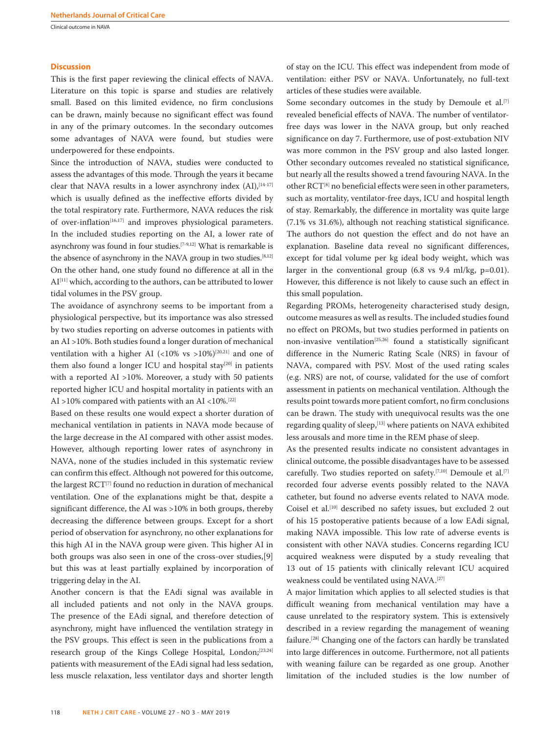Clinical outcome in NAVA

#### **Discussion**

This is the first paper reviewing the clinical effects of NAVA. Literature on this topic is sparse and studies are relatively small. Based on this limited evidence, no firm conclusions can be drawn, mainly because no significant effect was found in any of the primary outcomes. In the secondary outcomes some advantages of NAVA were found, but studies were underpowered for these endpoints.

Since the introduction of NAVA, studies were conducted to assess the advantages of this mode. Through the years it became clear that NAVA results in a lower asynchrony index  $(AI),$ <sup>[14-17]</sup> which is usually defined as the ineffective efforts divided by the total respiratory rate. Furthermore, NAVA reduces the risk of over-inflation<sup>[16,17]</sup> and improves physiological parameters. In the included studies reporting on the AI, a lower rate of asynchrony was found in four studies.<sup>[7-9,12]</sup> What is remarkable is the absence of asynchrony in the NAVA group in two studies.<sup>[8,12]</sup> On the other hand, one study found no difference at all in the AI<sup>[11]</sup> which, according to the authors, can be attributed to lower tidal volumes in the PSV group.

The avoidance of asynchrony seems to be important from a physiological perspective, but its importance was also stressed by two studies reporting on adverse outcomes in patients with an AI >10%. Both studies found a longer duration of mechanical ventilation with a higher AI (<10% vs >10%)<sup>[20,21]</sup> and one of them also found a longer ICU and hospital stay $[20]$  in patients with a reported AI >10%. Moreover, a study with 50 patients reported higher ICU and hospital mortality in patients with an AI >10% compared with patients with an AI <10%.<sup>[22]</sup>

Based on these results one would expect a shorter duration of mechanical ventilation in patients in NAVA mode because of the large decrease in the AI compared with other assist modes. However, although reporting lower rates of asynchrony in NAVA, none of the studies included in this systematic review can confirm this effect. Although not powered for this outcome, the largest RCT<sup>[7]</sup> found no reduction in duration of mechanical ventilation. One of the explanations might be that, despite a significant difference, the AI was >10% in both groups, thereby decreasing the difference between groups. Except for a short period of observation for asynchrony, no other explanations for this high AI in the NAVA group were given. This higher AI in both groups was also seen in one of the cross-over studies,[9] but this was at least partially explained by incorporation of triggering delay in the AI.

Another concern is that the EAdi signal was available in all included patients and not only in the NAVA groups. The presence of the EAdi signal, and therefore detection of asynchrony, might have influenced the ventilation strategy in the PSV groups. This effect is seen in the publications from a research group of the Kings College Hospital, London;[23,24] patients with measurement of the EAdi signal had less sedation, less muscle relaxation, less ventilator days and shorter length of stay on the ICU. This effect was independent from mode of ventilation: either PSV or NAVA. Unfortunately, no full-text articles of these studies were available.

Some secondary outcomes in the study by Demoule et al.<sup>[7]</sup> revealed beneficial effects of NAVA. The number of ventilatorfree days was lower in the NAVA group, but only reached significance on day 7. Furthermore, use of post-extubation NIV was more common in the PSV group and also lasted longer. Other secondary outcomes revealed no statistical significance, but nearly all the results showed a trend favouring NAVA. In the other RCT[8] no beneficial effects were seen in other parameters, such as mortality, ventilator-free days, ICU and hospital length of stay. Remarkably, the difference in mortality was quite large (7.1% vs 31.6%), although not reaching statistical significance. The authors do not question the effect and do not have an explanation. Baseline data reveal no significant differences, except for tidal volume per kg ideal body weight, which was larger in the conventional group (6.8 vs 9.4 ml/kg, p=0.01). However, this difference is not likely to cause such an effect in this small population.

Regarding PROMs, heterogeneity characterised study design, outcome measures as well as results. The included studies found no effect on PROMs, but two studies performed in patients on non-invasive ventilation[25,26] found a statistically significant difference in the Numeric Rating Scale (NRS) in favour of NAVA, compared with PSV. Most of the used rating scales (e.g. NRS) are not, of course, validated for the use of comfort assessment in patients on mechanical ventilation. Although the results point towards more patient comfort, no firm conclusions can be drawn. The study with unequivocal results was the one regarding quality of sleep,<sup>[13]</sup> where patients on NAVA exhibited less arousals and more time in the REM phase of sleep.

As the presented results indicate no consistent advantages in clinical outcome, the possible disadvantages have to be assessed carefully. Two studies reported on safety.<sup>[7,10]</sup> Demoule et al.<sup>[7]</sup> recorded four adverse events possibly related to the NAVA catheter, but found no adverse events related to NAVA mode. Coisel et al.[10] described no safety issues, but excluded 2 out of his 15 postoperative patients because of a low EAdi signal, making NAVA impossible. This low rate of adverse events is consistent with other NAVA studies. Concerns regarding ICU acquired weakness were disputed by a study revealing that 13 out of 15 patients with clinically relevant ICU acquired weakness could be ventilated using NAVA.[27]

A major limitation which applies to all selected studies is that difficult weaning from mechanical ventilation may have a cause unrelated to the respiratory system. This is extensively described in a review regarding the management of weaning failure.<sup>[28]</sup> Changing one of the factors can hardly be translated into large differences in outcome. Furthermore, not all patients with weaning failure can be regarded as one group. Another limitation of the included studies is the low number of